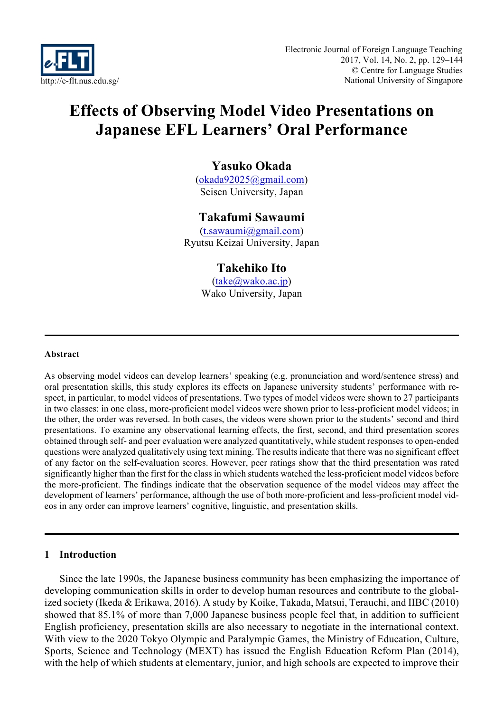

# **Effects of Observing Model Video Presentations on Japanese EFL Learners' Oral Performance**

## **Yasuko Okada**

(okada92025@gmail.com) Seisen University, Japan

## **Takafumi Sawaumi**

(t.sawaumi@gmail.com) Ryutsu Keizai University, Japan

## **Takehiko Ito**

(take@wako.ac.jp) Wako University, Japan

#### **Abstract**

As observing model videos can develop learners' speaking (e.g. pronunciation and word/sentence stress) and oral presentation skills, this study explores its effects on Japanese university students' performance with respect, in particular, to model videos of presentations. Two types of model videos were shown to 27 participants in two classes: in one class, more-proficient model videos were shown prior to less-proficient model videos; in the other, the order was reversed. In both cases, the videos were shown prior to the students' second and third presentations. To examine any observational learning effects, the first, second, and third presentation scores obtained through self- and peer evaluation were analyzed quantitatively, while student responses to open-ended questions were analyzed qualitatively using text mining. The results indicate that there was no significant effect of any factor on the self-evaluation scores. However, peer ratings show that the third presentation was rated significantly higher than the first for the class in which students watched the less-proficient model videos before the more-proficient. The findings indicate that the observation sequence of the model videos may affect the development of learners' performance, although the use of both more-proficient and less-proficient model videos in any order can improve learners' cognitive, linguistic, and presentation skills.

#### **1 Introduction**

Since the late 1990s, the Japanese business community has been emphasizing the importance of developing communication skills in order to develop human resources and contribute to the globalized society (Ikeda & Erikawa, 2016). A study by Koike, Takada, Matsui, Terauchi, and IIBC (2010) showed that 85.1% of more than 7,000 Japanese business people feel that, in addition to sufficient English proficiency, presentation skills are also necessary to negotiate in the international context. With view to the 2020 Tokyo Olympic and Paralympic Games, the Ministry of Education, Culture, Sports, Science and Technology (MEXT) has issued the English Education Reform Plan (2014), with the help of which students at elementary, junior, and high schools are expected to improve their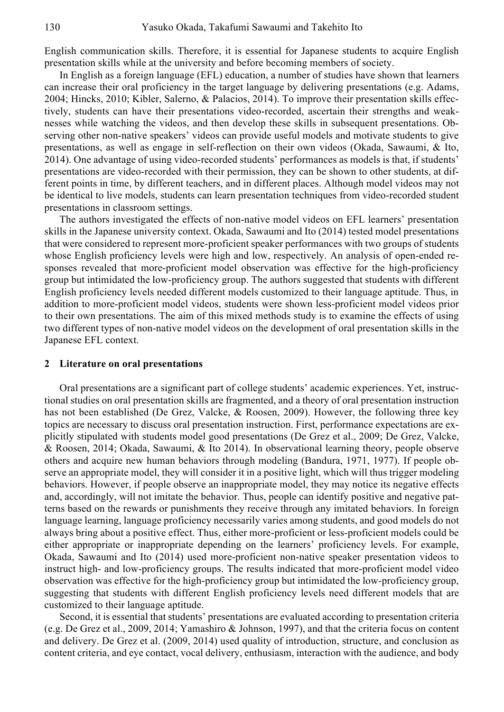English communication skills. Therefore, it is essential for Japanese students to acquire English presentation skills while at the university and before becoming members of society.

In English as a foreign language (EFL) education, a number of studies have shown that learners can increase their oral proficiency in the target language by delivering presentations (e.g. Adams, 2004; Hincks, 2010; Kibler, Salerno, & Palacios, 2014). To improve their presentation skills effectively, students can have their presentations video-recorded, ascertain their strengths and weaknesses while watching the videos, and then develop these skills in subsequent presentations. Observing other non-native speakers' videos can provide useful models and motivate students to give presentations, as well as engage in self-reflection on their own videos (Okada, Sawaumi, & Ito, 2014). One advantage of using video-recorded students' performances as models is that, if students' presentations are video-recorded with their permission, they can be shown to other students, at different points in time, by different teachers, and in different places. Although model videos may not be identical to live models, students can learn presentation techniques from video-recorded student presentations in classroom settings.

The authors investigated the effects of non-native model videos on EFL learners' presentation skills in the Japanese university context. Okada, Sawaumi and Ito (2014) tested model presentations that were considered to represent more-proficient speaker performances with two groups of students whose English proficiency levels were high and low, respectively. An analysis of open-ended responses revealed that more-proficient model observation was effective for the high-proficiency group but intimidated the low-proficiency group. The authors suggested that students with different English proficiency levels needed different models customized to their language aptitude. Thus, in addition to more-proficient model videos, students were shown less-proficient model videos prior to their own presentations. The aim of this mixed methods study is to examine the effects of using two different types of non-native model videos on the development of oral presentation skills in the Japanese EFL context.

#### **2 Literature on oral presentations**

Oral presentations are a significant part of college students' academic experiences. Yet, instructional studies on oral presentation skills are fragmented, and a theory of oral presentation instruction has not been established (De Grez, Valcke, & Roosen, 2009). However, the following three key topics are necessary to discuss oral presentation instruction. First, performance expectations are explicitly stipulated with students model good presentations (De Grez et al., 2009; De Grez, Valcke, & Roosen, 2014; Okada, Sawaumi, & Ito 2014). In observational learning theory, people observe others and acquire new human behaviors through modeling (Bandura, 1971, 1977). If people observe an appropriate model, they will consider it in a positive light, which will thus trigger modeling behaviors. However, if people observe an inappropriate model, they may notice its negative effects and, accordingly, will not imitate the behavior. Thus, people can identify positive and negative patterns based on the rewards or punishments they receive through any imitated behaviors. In foreign language learning, language proficiency necessarily varies among students, and good models do not always bring about a positive effect. Thus, either more-proficient or less-proficient models could be either appropriate or inappropriate depending on the learners' proficiency levels. For example, Okada, Sawaumi and Ito (2014) used more-proficient non-native speaker presentation videos to instruct high- and low-proficiency groups. The results indicated that more-proficient model video observation was effective for the high-proficiency group but intimidated the low-proficiency group, suggesting that students with different English proficiency levels need different models that are customized to their language aptitude.

Second, it is essential that students' presentations are evaluated according to presentation criteria (e.g. De Grez et al., 2009, 2014; Yamashiro & Johnson, 1997), and that the criteria focus on content and delivery. De Grez et al. (2009, 2014) used quality of introduction, structure, and conclusion as content criteria, and eye contact, vocal delivery, enthusiasm, interaction with the audience, and body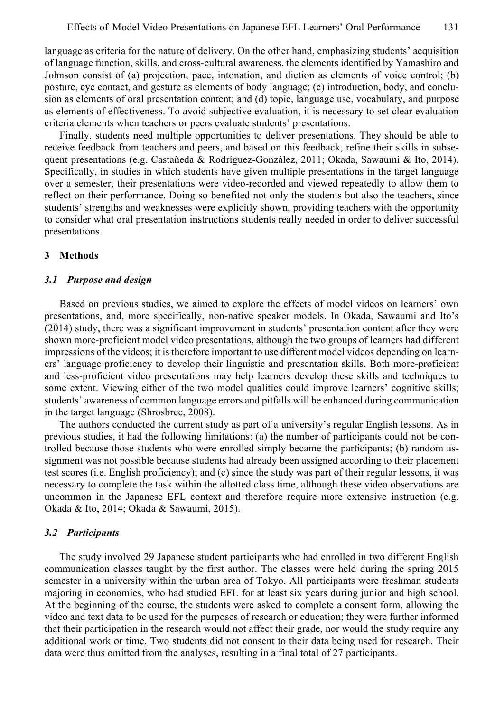language as criteria for the nature of delivery. On the other hand, emphasizing students' acquisition of language function, skills, and cross-cultural awareness, the elements identified by Yamashiro and Johnson consist of (a) projection, pace, intonation, and diction as elements of voice control; (b) posture, eye contact, and gesture as elements of body language; (c) introduction, body, and conclusion as elements of oral presentation content; and (d) topic, language use, vocabulary, and purpose as elements of effectiveness. To avoid subjective evaluation, it is necessary to set clear evaluation criteria elements when teachers or peers evaluate students' presentations.

Finally, students need multiple opportunities to deliver presentations. They should be able to receive feedback from teachers and peers, and based on this feedback, refine their skills in subsequent presentations (e.g. Castañeda & Rodríguez-González, 2011; Okada, Sawaumi & Ito, 2014). Specifically, in studies in which students have given multiple presentations in the target language over a semester, their presentations were video-recorded and viewed repeatedly to allow them to reflect on their performance. Doing so benefited not only the students but also the teachers, since students' strengths and weaknesses were explicitly shown, providing teachers with the opportunity to consider what oral presentation instructions students really needed in order to deliver successful presentations.

#### **3 Methods**

#### *3.1 Purpose and design*

Based on previous studies, we aimed to explore the effects of model videos on learners' own presentations, and, more specifically, non-native speaker models. In Okada, Sawaumi and Ito's (2014) study, there was a significant improvement in students' presentation content after they were shown more-proficient model video presentations, although the two groups of learners had different impressions of the videos; it is therefore important to use different model videos depending on learners' language proficiency to develop their linguistic and presentation skills. Both more-proficient and less-proficient video presentations may help learners develop these skills and techniques to some extent. Viewing either of the two model qualities could improve learners' cognitive skills; students' awareness of common language errors and pitfalls will be enhanced during communication in the target language (Shrosbree, 2008).

The authors conducted the current study as part of a university's regular English lessons. As in previous studies, it had the following limitations: (a) the number of participants could not be controlled because those students who were enrolled simply became the participants; (b) random assignment was not possible because students had already been assigned according to their placement test scores (i.e. English proficiency); and (c) since the study was part of their regular lessons, it was necessary to complete the task within the allotted class time, although these video observations are uncommon in the Japanese EFL context and therefore require more extensive instruction (e.g. Okada & Ito, 2014; Okada & Sawaumi, 2015).

#### *3.2 Participants*

The study involved 29 Japanese student participants who had enrolled in two different English communication classes taught by the first author. The classes were held during the spring 2015 semester in a university within the urban area of Tokyo. All participants were freshman students majoring in economics, who had studied EFL for at least six years during junior and high school. At the beginning of the course, the students were asked to complete a consent form, allowing the video and text data to be used for the purposes of research or education; they were further informed that their participation in the research would not affect their grade, nor would the study require any additional work or time. Two students did not consent to their data being used for research. Their data were thus omitted from the analyses, resulting in a final total of 27 participants.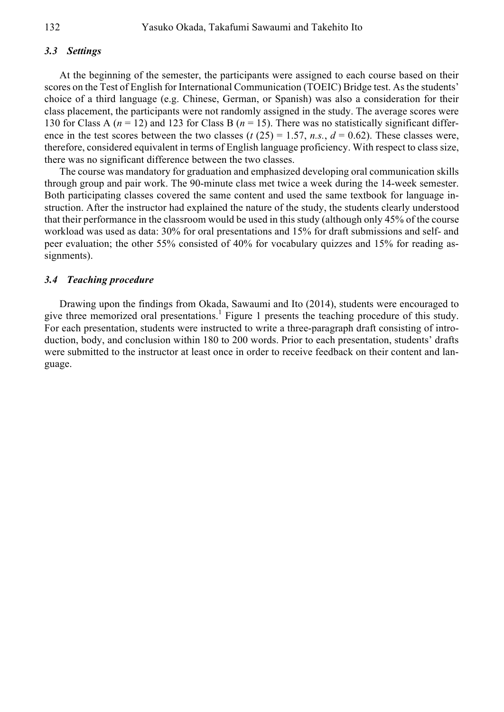## *3.3 Settings*

At the beginning of the semester, the participants were assigned to each course based on their scores on the Test of English for International Communication (TOEIC) Bridge test. As the students' choice of a third language (e.g. Chinese, German, or Spanish) was also a consideration for their class placement, the participants were not randomly assigned in the study. The average scores were 130 for Class A ( $n = 12$ ) and 123 for Class B ( $n = 15$ ). There was no statistically significant difference in the test scores between the two classes ( $t$  (25) = 1.57, *n.s.*,  $d = 0.62$ ). These classes were, therefore, considered equivalent in terms of English language proficiency. With respect to class size, there was no significant difference between the two classes.

The course was mandatory for graduation and emphasized developing oral communication skills through group and pair work. The 90-minute class met twice a week during the 14-week semester. Both participating classes covered the same content and used the same textbook for language instruction. After the instructor had explained the nature of the study, the students clearly understood that their performance in the classroom would be used in this study (although only 45% of the course workload was used as data: 30% for oral presentations and 15% for draft submissions and self- and peer evaluation; the other 55% consisted of 40% for vocabulary quizzes and 15% for reading assignments).

## *3.4 Teaching procedure*

Drawing upon the findings from Okada, Sawaumi and Ito (2014), students were encouraged to give three memorized oral presentations. <sup>1</sup> Figure 1 presents the teaching procedure of this study. For each presentation, students were instructed to write a three-paragraph draft consisting of introduction, body, and conclusion within 180 to 200 words. Prior to each presentation, students' drafts were submitted to the instructor at least once in order to receive feedback on their content and language.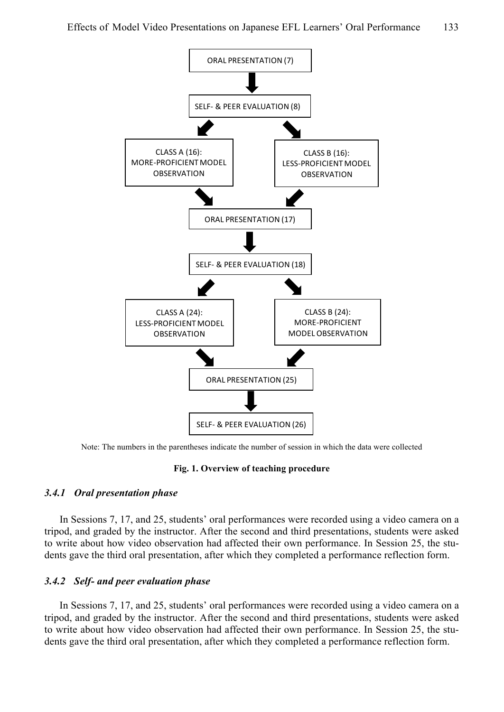

Note: The numbers in the parentheses indicate the number of session in which the data were collected

#### **Fig. 1. Overview of teaching procedure**

## *3.4.1 Oral presentation phase*

In Sessions 7, 17, and 25, students' oral performances were recorded using a video camera on a tripod, and graded by the instructor. After the second and third presentations, students were asked to write about how video observation had affected their own performance. In Session 25, the students gave the third oral presentation, after which they completed a performance reflection form.

## *3.4.2 Self- and peer evaluation phase*

In Sessions 7, 17, and 25, students' oral performances were recorded using a video camera on a tripod, and graded by the instructor. After the second and third presentations, students were asked to write about how video observation had affected their own performance. In Session 25, the students gave the third oral presentation, after which they completed a performance reflection form.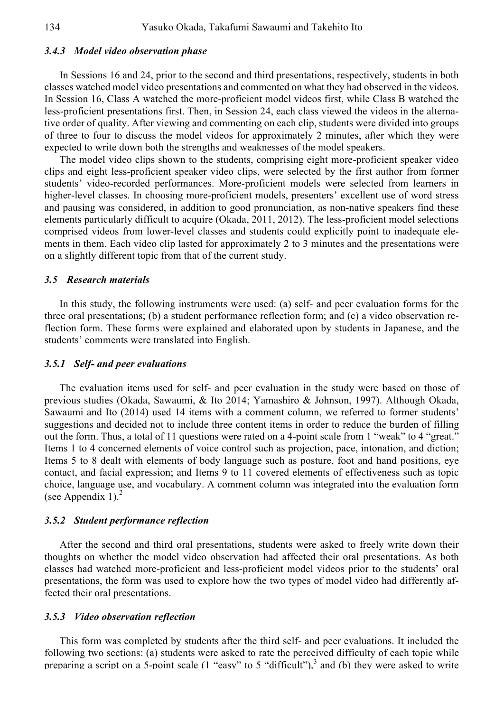#### *3.4.3 Model video observation phase*

In Sessions 16 and 24, prior to the second and third presentations, respectively, students in both classes watched model video presentations and commented on what they had observed in the videos. In Session 16, Class A watched the more-proficient model videos first, while Class B watched the less-proficient presentations first. Then, in Session 24, each class viewed the videos in the alternative order of quality. After viewing and commenting on each clip, students were divided into groups of three to four to discuss the model videos for approximately 2 minutes, after which they were expected to write down both the strengths and weaknesses of the model speakers.

The model video clips shown to the students, comprising eight more-proficient speaker video clips and eight less-proficient speaker video clips, were selected by the first author from former students' video-recorded performances. More-proficient models were selected from learners in higher-level classes. In choosing more-proficient models, presenters' excellent use of word stress and pausing was considered, in addition to good pronunciation, as non-native speakers find these elements particularly difficult to acquire (Okada, 2011, 2012). The less-proficient model selections comprised videos from lower-level classes and students could explicitly point to inadequate elements in them. Each video clip lasted for approximately 2 to 3 minutes and the presentations were on a slightly different topic from that of the current study.

#### *3.5 Research materials*

In this study, the following instruments were used: (a) self- and peer evaluation forms for the three oral presentations; (b) a student performance reflection form; and (c) a video observation reflection form. These forms were explained and elaborated upon by students in Japanese, and the students' comments were translated into English.

#### *3.5.1 Self- and peer evaluations*

The evaluation items used for self- and peer evaluation in the study were based on those of previous studies (Okada, Sawaumi, & Ito 2014; Yamashiro & Johnson, 1997). Although Okada, Sawaumi and Ito (2014) used 14 items with a comment column, we referred to former students' suggestions and decided not to include three content items in order to reduce the burden of filling out the form. Thus, a total of 11 questions were rated on a 4-point scale from 1 "weak" to 4 "great." Items 1 to 4 concerned elements of voice control such as projection, pace, intonation, and diction; Items 5 to 8 dealt with elements of body language such as posture, foot and hand positions, eye contact, and facial expression; and Items 9 to 11 covered elements of effectiveness such as topic choice, language use, and vocabulary. A comment column was integrated into the evaluation form (see Appendix 1). $^{2}$ 

## *3.5.2 Student performance reflection*

After the second and third oral presentations, students were asked to freely write down their thoughts on whether the model video observation had affected their oral presentations. As both classes had watched more-proficient and less-proficient model videos prior to the students' oral presentations, the form was used to explore how the two types of model video had differently affected their oral presentations.

#### *3.5.3 Video observation reflection*

This form was completed by students after the third self- and peer evaluations. It included the following two sections: (a) students were asked to rate the perceived difficulty of each topic while preparing a script on a 5-point scale (1 "easy" to 5 "difficult"),<sup>3</sup> and (b) they were asked to write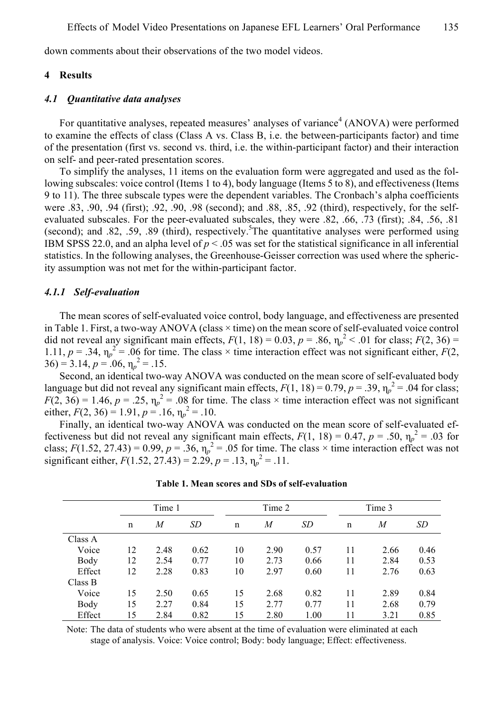down comments about their observations of the two model videos.

#### **4 Results**

#### *4.1 Quantitative data analyses*

For quantitative analyses, repeated measures' analyses of variance<sup>4</sup> (ANOVA) were performed to examine the effects of class (Class A vs. Class B, i.e. the between-participants factor) and time of the presentation (first vs. second vs. third, i.e. the within-participant factor) and their interaction on self- and peer-rated presentation scores.

To simplify the analyses, 11 items on the evaluation form were aggregated and used as the following subscales: voice control (Items 1 to 4), body language (Items 5 to 8), and effectiveness (Items 9 to 11). The three subscale types were the dependent variables. The Cronbach's alpha coefficients were .83, .90, .94 (first); .92, .90, .98 (second); and .88, .85, .92 (third), respectively, for the selfevaluated subscales. For the peer-evaluated subscales, they were .82, .66, .73 (first); .84, .56, .81 (second); and .82, .59, .89 (third), respectively. The quantitative analyses were performed using IBM SPSS 22.0, and an alpha level of  $p < 0.05$  was set for the statistical significance in all inferential statistics. In the following analyses, the Greenhouse-Geisser correction was used where the sphericity assumption was not met for the within-participant factor.

#### *4.1.1 Self-evaluation*

The mean scores of self-evaluated voice control, body language, and effectiveness are presented in Table 1. First, a two-way ANOVA (class × time) on the mean score of self-evaluated voice control did not reveal any significant main effects,  $F(1, 18) = 0.03$ ,  $p = .86$ ,  $\eta_p^2 < .01$  for class;  $F(2, 36) =$ 1.11,  $p = 0.34$ ,  $\eta_p^2 = 0.06$  for time. The class  $\times$  time interaction effect was not significant either,  $F(2, \theta)$  $36) = 3.14, p = 0.06, \eta_p^2 = 0.15.$ 

Second, an identical two-way ANOVA was conducted on the mean score of self-evaluated body language but did not reveal any significant main effects,  $F(1, 18) = 0.79$ ,  $p = .39$ ,  $\eta_p^2 = .04$  for class;  $F(2, 36) = 1.46$ ,  $p = .25$ ,  $\eta_p^2 = .08$  for time. The class  $\times$  time interaction effect was not significant either,  $F(2, 36) = 1.91$ ,  $p = .16$ ,  $\eta_p^2 = .10$ .

Finally, an identical two-way ANOVA was conducted on the mean score of self-evaluated effectiveness but did not reveal any significant main effects,  $F(1, 18) = 0.47$ ,  $p = .50$ ,  $\eta_p^2 = .03$  for class;  $F(1.52, 27.43) = 0.99$ ,  $p = .36$ ,  $\eta_p^2 = .05$  for time. The class  $\times$  time interaction effect was not significant either,  $F(1.52, 27.43) = 2.29, p = .13, \eta_p^2 = .11$ .

|         | Time 1 |      |      |    | Time 2 |      |    | Time 3 |      |
|---------|--------|------|------|----|--------|------|----|--------|------|
|         | n      | M    | SD   | n  | M      | SD   | n  | M      | SD   |
| Class A |        |      |      |    |        |      |    |        |      |
| Voice   | 12     | 2.48 | 0.62 | 10 | 2.90   | 0.57 | 11 | 2.66   | 0.46 |
| Body    | 12     | 2.54 | 0.77 | 10 | 2.73   | 0.66 | 11 | 2.84   | 0.53 |
| Effect  | 12     | 2.28 | 0.83 | 10 | 2.97   | 0.60 | 11 | 2.76   | 0.63 |
| Class B |        |      |      |    |        |      |    |        |      |
| Voice   | 15     | 2.50 | 0.65 | 15 | 2.68   | 0.82 | 11 | 2.89   | 0.84 |
| Body    | 15     | 2.27 | 0.84 | 15 | 2.77   | 0.77 | 11 | 2.68   | 0.79 |
| Effect  | 15     | 2.84 | 0.82 | 15 | 2.80   | 1.00 | 11 | 3.21   | 0.85 |

#### **Table 1. Mean scores and SDs of self-evaluation**

Note: The data of students who were absent at the time of evaluation were eliminated at each stage of analysis. Voice: Voice control; Body: body language; Effect: effectiveness.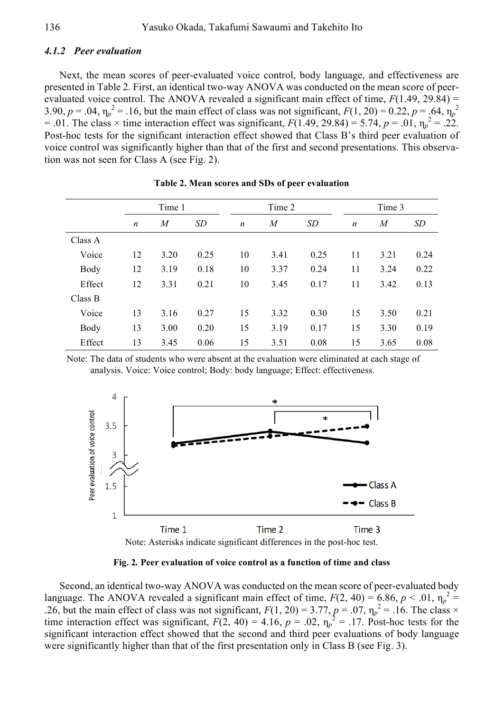## *4.1.2 Peer evaluation*

Next, the mean scores of peer-evaluated voice control, body language, and effectiveness are presented in Table 2. First, an identical two-way ANOVA was conducted on the mean score of peerevaluated voice control. The ANOVA revealed a significant main effect of time, *F*(1.49, 29.84) = 3.90,  $p = .04$ ,  $\eta_p^2 = .16$ , but the main effect of class was not significant,  $F(1, 20) = 0.22$ ,  $p = .64$ ,  $\eta_p^2$  $= .01$ . The class  $\times$  time interaction effect was significant,  $F(1.49, 29.84) = 5.74$ ,  $p = .01$ ,  $\eta_p^2 = .22$ . Post-hoc tests for the significant interaction effect showed that Class B's third peer evaluation of voice control was significantly higher than that of the first and second presentations. This observation was not seen for Class A (see Fig. 2).

|         | Time 1 |      | Time 2 |                  |      | Time 3 |                  |      |      |
|---------|--------|------|--------|------------------|------|--------|------------------|------|------|
|         | n      | M    | SD     | $\boldsymbol{n}$ | M    | SD     | $\boldsymbol{n}$ | M    | SD   |
| Class A |        |      |        |                  |      |        |                  |      |      |
| Voice   | 12     | 3.20 | 0.25   | 10               | 3.41 | 0.25   | 11               | 3.21 | 0.24 |
| Body    | 12     | 3.19 | 0.18   | 10               | 3.37 | 0.24   | 11               | 3.24 | 0.22 |
| Effect  | 12     | 3.31 | 0.21   | 10               | 3.45 | 0.17   | 11               | 3.42 | 0.13 |
| Class B |        |      |        |                  |      |        |                  |      |      |
| Voice   | 13     | 3.16 | 0.27   | 15               | 3.32 | 0.30   | 15               | 3.50 | 0.21 |
| Body    | 13     | 3.00 | 0.20   | 15               | 3.19 | 0.17   | 15               | 3.30 | 0.19 |
| Effect  | 13     | 3.45 | 0.06   | 15               | 3.51 | 0.08   | 15               | 3.65 | 0.08 |

| Table 2. Mean scores and SDs of peer evaluation |  |  |  |
|-------------------------------------------------|--|--|--|
|-------------------------------------------------|--|--|--|

Note: The data of students who were absent at the evaluation were eliminated at each stage of analysis. Voice: Voice control; Body: body language; Effect: effectiveness.



Note: Asterisks indicate significant differences in the post-hoc test.

**Fig. 2***.* **Peer evaluation of voice control as a function of time and class**

Second, an identical two-way ANOVA was conducted on the mean score of peer-evaluated body language. The ANOVA revealed a significant main effect of time,  $F(2, 40) = 6.86$ ,  $p < .01$ ,  $\eta_p^2 =$ .26, but the main effect of class was not significant,  $F(1, 20) = 3.77$ ,  $p = .07$ ,  $\eta_p^2 = .16$ . The class  $\times$ time interaction effect was significant,  $F(2, 40) = 4.16$ ,  $p = .02$ ,  $\eta_p^2 = .17$ . Post-hoc tests for the significant interaction effect showed that the second and third peer evaluations of body language were significantly higher than that of the first presentation only in Class B (see Fig. 3).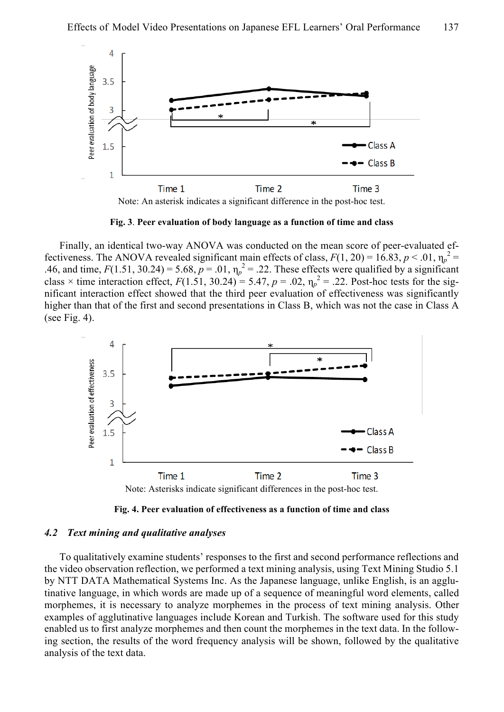

Note: An asterisk indicates a significant difference in the post-hoc test.

**Fig. 3**. **Peer evaluation of body language as a function of time and class**

Finally, an identical two-way ANOVA was conducted on the mean score of peer-evaluated effectiveness. The ANOVA revealed significant main effects of class,  $F(1, 20) = 16.83$ ,  $p < .01$ ,  $\eta_p^2 =$ .46, and time,  $F(1.51, 30.24) = 5.68$ ,  $p = .01$ ,  $\eta_p^2 = .22$ . These effects were qualified by a significant class  $\times$  time interaction effect,  $F(1.51, 30.24) = 5.47$ ,  $p = .02$ ,  $\eta_p^2 = .22$ . Post-hoc tests for the significant interaction effect showed that the third peer evaluation of effectiveness was significantly higher than that of the first and second presentations in Class B, which was not the case in Class A (see Fig. 4).



**Fig. 4. Peer evaluation of effectiveness as a function of time and class**

#### *4.2 Text mining and qualitative analyses*

To qualitatively examine students' responses to the first and second performance reflections and the video observation reflection, we performed a text mining analysis, using Text Mining Studio 5.1 by NTT DATA Mathematical Systems Inc. As the Japanese language, unlike English, is an agglutinative language, in which words are made up of a sequence of meaningful word elements, called morphemes, it is necessary to analyze morphemes in the process of text mining analysis. Other examples of agglutinative languages include Korean and Turkish. The software used for this study enabled us to first analyze morphemes and then count the morphemes in the text data. In the following section, the results of the word frequency analysis will be shown, followed by the qualitative analysis of the text data.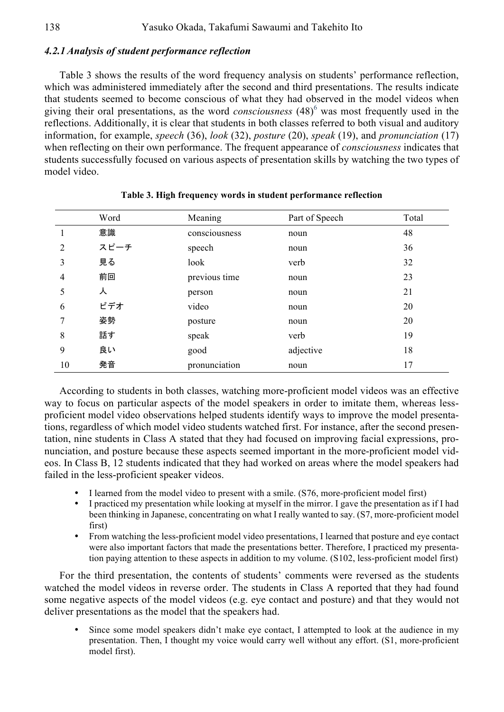## *4.2.1 Analysis of student performance reflection*

Table 3 shows the results of the word frequency analysis on students' performance reflection, which was administered immediately after the second and third presentations. The results indicate that students seemed to become conscious of what they had observed in the model videos when giving their oral presentations, as the word *consciousness* (48)<sup>6</sup> was most frequently used in the reflections. Additionally, it is clear that students in both classes referred to both visual and auditory information, for example, *speech* (36), *look* (32), *posture* (20), *speak* (19), and *pronunciation* (17) when reflecting on their own performance. The frequent appearance of *consciousness* indicates that students successfully focused on various aspects of presentation skills by watching the two types of model video.

|                | Word | Meaning       | Part of Speech | Total |
|----------------|------|---------------|----------------|-------|
| 1              | 意識   | consciousness | noun           | 48    |
| $\overline{2}$ | スピーチ | speech        | noun           | 36    |
| 3              | 見る   | look          | verb           | 32    |
| $\overline{4}$ | 前回   | previous time | noun           | 23    |
| 5              | 人    | person        | noun           | 21    |
| 6              | ビデオ  | video         | noun           | 20    |
| 7              | 姿勢   | posture       | noun           | 20    |
| 8              | 話す   | speak         | verb           | 19    |
| 9              | 良い   | good          | adjective      | 18    |
| 10             | 発音   | pronunciation | noun           | 17    |

#### **Table 3. High frequency words in student performance reflection**

According to students in both classes, watching more-proficient model videos was an effective way to focus on particular aspects of the model speakers in order to imitate them, whereas lessproficient model video observations helped students identify ways to improve the model presentations, regardless of which model video students watched first. For instance, after the second presentation, nine students in Class A stated that they had focused on improving facial expressions, pronunciation, and posture because these aspects seemed important in the more-proficient model videos. In Class B, 12 students indicated that they had worked on areas where the model speakers had failed in the less-proficient speaker videos.

- I learned from the model video to present with a smile. (S76, more-proficient model first)
- I practiced my presentation while looking at myself in the mirror. I gave the presentation as if I had been thinking in Japanese, concentrating on what I really wanted to say. (S7, more-proficient model first)
- From watching the less-proficient model video presentations, I learned that posture and eye contact were also important factors that made the presentations better. Therefore, I practiced my presentation paying attention to these aspects in addition to my volume. (S102, less-proficient model first)

For the third presentation, the contents of students' comments were reversed as the students watched the model videos in reverse order. The students in Class A reported that they had found some negative aspects of the model videos (e.g. eye contact and posture) and that they would not deliver presentations as the model that the speakers had.

 Since some model speakers didn't make eye contact, I attempted to look at the audience in my presentation. Then, I thought my voice would carry well without any effort. (S1, more-proficient model first).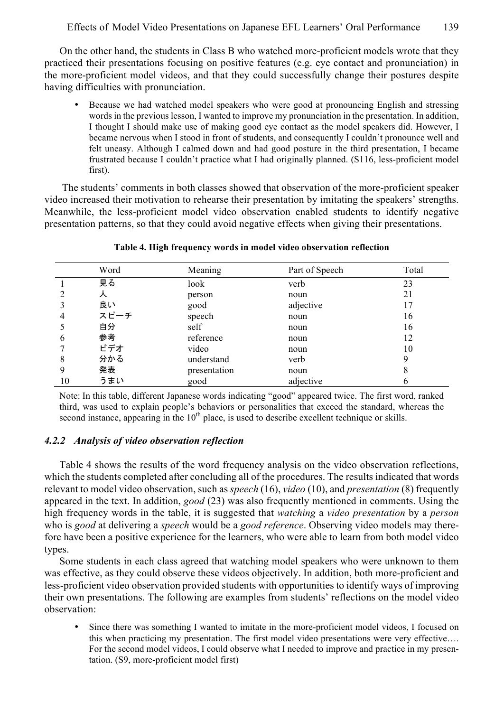On the other hand, the students in Class B who watched more-proficient models wrote that they practiced their presentations focusing on positive features (e.g. eye contact and pronunciation) in the more-proficient model videos, and that they could successfully change their postures despite having difficulties with pronunciation.

 Because we had watched model speakers who were good at pronouncing English and stressing words in the previous lesson, I wanted to improve my pronunciation in the presentation. In addition, I thought I should make use of making good eye contact as the model speakers did. However, I became nervous when I stood in front of students, and consequently I couldn't pronounce well and felt uneasy. Although I calmed down and had good posture in the third presentation, I became frustrated because I couldn't practice what I had originally planned. (S116, less-proficient model first).

The students' comments in both classes showed that observation of the more-proficient speaker video increased their motivation to rehearse their presentation by imitating the speakers' strengths. Meanwhile, the less-proficient model video observation enabled students to identify negative presentation patterns, so that they could avoid negative effects when giving their presentations.

|                | Word | Meaning      | Part of Speech | Total |
|----------------|------|--------------|----------------|-------|
|                | 見る   | look         | verb           | 23    |
| 2              |      | person       | noun           | 21    |
| 3              | 良い   | good         | adjective      | 17    |
| $\overline{4}$ | スピーチ | speech       | noun           | 16    |
| 5              | 自分   | self         | noun           | 16    |
| 6              | 参考   | reference    | noun           | 12    |
| 7              | ビデオ  | video        | noun           | 10    |
| 8              | 分かる  | understand   | verb           | 9     |
| 9              | 発表   | presentation | noun           | 8     |
| 10             | うまい  | good         | adjective      | O     |

**Table 4. High frequency words in model video observation reflection**

Note: In this table, different Japanese words indicating "good" appeared twice. The first word, ranked third, was used to explain people's behaviors or personalities that exceed the standard, whereas the second instance, appearing in the 10<sup>th</sup> place, is used to describe excellent technique or skills.

## *4.2.2 Analysis of video observation reflection*

Table 4 shows the results of the word frequency analysis on the video observation reflections, which the students completed after concluding all of the procedures. The results indicated that words relevant to model video observation, such as *speech* (16), *video* (10), and *presentation* (8) frequently appeared in the text. In addition, *good* (23) was also frequently mentioned in comments. Using the high frequency words in the table, it is suggested that *watching* a *video presentation* by a *person* who is *good* at delivering a *speech* would be a *good reference*. Observing video models may therefore have been a positive experience for the learners, who were able to learn from both model video types.

Some students in each class agreed that watching model speakers who were unknown to them was effective, as they could observe these videos objectively. In addition, both more-proficient and less-proficient video observation provided students with opportunities to identify ways of improving their own presentations. The following are examples from students' reflections on the model video observation:

 Since there was something I wanted to imitate in the more-proficient model videos, I focused on this when practicing my presentation. The first model video presentations were very effective…. For the second model videos, I could observe what I needed to improve and practice in my presentation. (S9, more-proficient model first)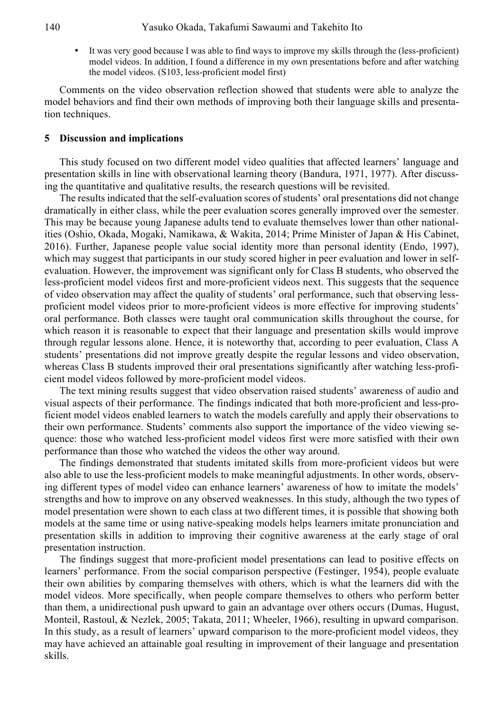It was very good because I was able to find ways to improve my skills through the (less-proficient) model videos. In addition, I found a difference in my own presentations before and after watching the model videos. (S103, less-proficient model first)

Comments on the video observation reflection showed that students were able to analyze the model behaviors and find their own methods of improving both their language skills and presentation techniques.

## **5 Discussion and implications**

This study focused on two different model video qualities that affected learners' language and presentation skills in line with observational learning theory (Bandura, 1971, 1977). After discussing the quantitative and qualitative results, the research questions will be revisited.

The results indicated that the self-evaluation scores of students' oral presentations did not change dramatically in either class, while the peer evaluation scores generally improved over the semester. This may be because young Japanese adults tend to evaluate themselves lower than other nationalities (Oshio, Okada, Mogaki, Namikawa, & Wakita, 2014; Prime Minister of Japan & His Cabinet, 2016). Further, Japanese people value social identity more than personal identity (Endo, 1997), which may suggest that participants in our study scored higher in peer evaluation and lower in selfevaluation. However, the improvement was significant only for Class B students, who observed the less-proficient model videos first and more-proficient videos next. This suggests that the sequence of video observation may affect the quality of students' oral performance, such that observing lessproficient model videos prior to more-proficient videos is more effective for improving students' oral performance. Both classes were taught oral communication skills throughout the course, for which reason it is reasonable to expect that their language and presentation skills would improve through regular lessons alone. Hence, it is noteworthy that, according to peer evaluation, Class A students' presentations did not improve greatly despite the regular lessons and video observation, whereas Class B students improved their oral presentations significantly after watching less-proficient model videos followed by more-proficient model videos.

The text mining results suggest that video observation raised students' awareness of audio and visual aspects of their performance. The findings indicated that both more-proficient and less-proficient model videos enabled learners to watch the models carefully and apply their observations to their own performance. Students' comments also support the importance of the video viewing sequence: those who watched less-proficient model videos first were more satisfied with their own performance than those who watched the videos the other way around.

The findings demonstrated that students imitated skills from more-proficient videos but were also able to use the less-proficient models to make meaningful adjustments. In other words, observing different types of model video can enhance learners' awareness of how to imitate the models' strengths and how to improve on any observed weaknesses. In this study, although the two types of model presentation were shown to each class at two different times, it is possible that showing both models at the same time or using native-speaking models helps learners imitate pronunciation and presentation skills in addition to improving their cognitive awareness at the early stage of oral presentation instruction.

The findings suggest that more-proficient model presentations can lead to positive effects on learners' performance. From the social comparison perspective (Festinger, 1954), people evaluate their own abilities by comparing themselves with others, which is what the learners did with the model videos. More specifically, when people compare themselves to others who perform better than them, a unidirectional push upward to gain an advantage over others occurs (Dumas, Hugust, Monteil, Rastoul, & Nezlek, 2005; Takata, 2011; Wheeler, 1966), resulting in upward comparison. In this study, as a result of learners' upward comparison to the more-proficient model videos, they may have achieved an attainable goal resulting in improvement of their language and presentation skills.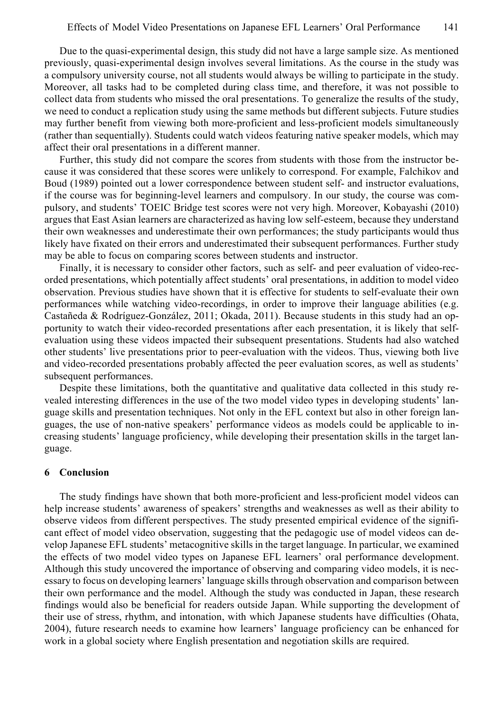Due to the quasi-experimental design, this study did not have a large sample size. As mentioned previously, quasi-experimental design involves several limitations. As the course in the study was a compulsory university course, not all students would always be willing to participate in the study. Moreover, all tasks had to be completed during class time, and therefore, it was not possible to collect data from students who missed the oral presentations. To generalize the results of the study, we need to conduct a replication study using the same methods but different subjects. Future studies may further benefit from viewing both more-proficient and less-proficient models simultaneously (rather than sequentially). Students could watch videos featuring native speaker models, which may affect their oral presentations in a different manner.

Further, this study did not compare the scores from students with those from the instructor because it was considered that these scores were unlikely to correspond. For example, Falchikov and Boud (1989) pointed out a lower correspondence between student self- and instructor evaluations, if the course was for beginning-level learners and compulsory. In our study, the course was compulsory, and students' TOEIC Bridge test scores were not very high. Moreover, Kobayashi (2010) argues that East Asian learners are characterized as having low self-esteem, because they understand their own weaknesses and underestimate their own performances; the study participants would thus likely have fixated on their errors and underestimated their subsequent performances. Further study may be able to focus on comparing scores between students and instructor.

Finally, it is necessary to consider other factors, such as self- and peer evaluation of video-recorded presentations, which potentially affect students' oral presentations, in addition to model video observation. Previous studies have shown that it is effective for students to self-evaluate their own performances while watching video-recordings, in order to improve their language abilities (e.g. Castañeda & Rodríguez-González, 2011; Okada, 2011). Because students in this study had an opportunity to watch their video-recorded presentations after each presentation, it is likely that selfevaluation using these videos impacted their subsequent presentations. Students had also watched other students' live presentations prior to peer-evaluation with the videos. Thus, viewing both live and video-recorded presentations probably affected the peer evaluation scores, as well as students' subsequent performances.

Despite these limitations, both the quantitative and qualitative data collected in this study revealed interesting differences in the use of the two model video types in developing students' language skills and presentation techniques. Not only in the EFL context but also in other foreign languages, the use of non-native speakers' performance videos as models could be applicable to increasing students' language proficiency, while developing their presentation skills in the target language.

#### **6 Conclusion**

The study findings have shown that both more-proficient and less-proficient model videos can help increase students' awareness of speakers' strengths and weaknesses as well as their ability to observe videos from different perspectives. The study presented empirical evidence of the significant effect of model video observation, suggesting that the pedagogic use of model videos can develop Japanese EFL students' metacognitive skills in the target language. In particular, we examined the effects of two model video types on Japanese EFL learners' oral performance development. Although this study uncovered the importance of observing and comparing video models, it is necessary to focus on developing learners' language skills through observation and comparison between their own performance and the model. Although the study was conducted in Japan, these research findings would also be beneficial for readers outside Japan. While supporting the development of their use of stress, rhythm, and intonation, with which Japanese students have difficulties (Ohata, 2004), future research needs to examine how learners' language proficiency can be enhanced for work in a global society where English presentation and negotiation skills are required.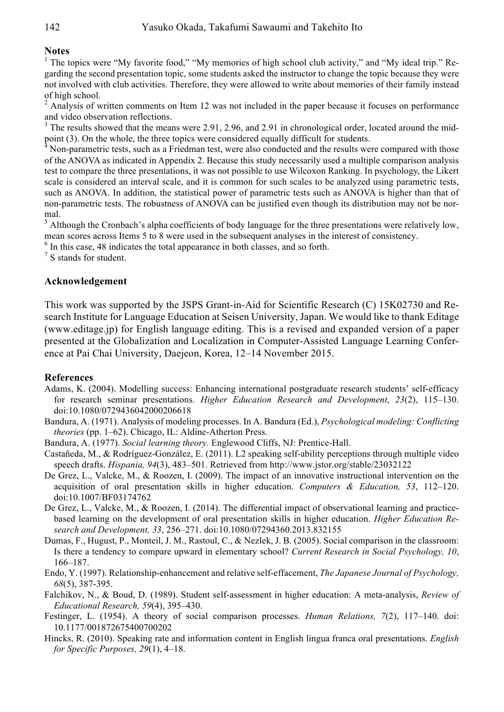## **Notes**

<sup>1</sup> The topics were "My favorite food," "My memories of high school club activity," and "My ideal trip." Regarding the second presentation topic, some students asked the instructor to change the topic because they were not involved with club activities. Therefore, they were allowed to write about memories of their family instead of high school.

<sup>2</sup> Analysis of written comments on Item 12 was not included in the paper because it focuses on performance and video observation reflections.

 $3$  The results showed that the means were 2.91, 2.96, and 2.91 in chronological order, located around the mid-<br>point (3). On the whole, the three topics were considered equally difficult for students.

 $3$ <sup>4</sup> Non-parametric tests, such as a Friedman test, were also conducted and the results were compared with those of the ANOVA as indicated in Appendix 2. Because this study necessarily used a multiple comparison analysis test to compare the three presentations, it was not possible to use Wilcoxon Ranking. In psychology, the Likert scale is considered an interval scale, and it is common for such scales to be analyzed using parametric tests, such as ANOVA. In addition, the statistical power of parametric tests such as ANOVA is higher than that of non-parametric tests. The robustness of ANOVA can be justified even though its distribution may not be normal.

 $<sup>5</sup>$  Although the Cronbach's alpha coefficients of body language for the three presentations were relatively low,</sup> mean scores across Items 5 to 8 were used in the subsequent analyses in the interest of consistency.

 $^6$  In this case, 48 indicates the total appearance in both classes, and so forth. <sup>7</sup> S stands for student.

## **Acknowledgement**

This work was supported by the JSPS Grant-in-Aid for Scientific Research (C) 15K02730 and Research Institute for Language Education at Seisen University, Japan. We would like to thank Editage (www.editage.jp) for English language editing. This is a revised and expanded version of a paper presented at the Globalization and Localization in Computer-Assisted Language Learning Conference at Pai Chai University, Daejeon, Korea, 12–14 November 2015.

## **References**

- Adams, K. (2004). Modelling success: Enhancing international postgraduate research students' self-efficacy for research seminar presentations. *Higher Education Research and Development*, *23*(2), 115–130. doi:10.1080/0729436042000206618
- Bandura, A. (1971). Analysis of modeling processes. In A. Bandura (Ed.), *Psychological modeling: Conflicting theories* (pp. 1–62). Chicago, IL: Aldine-Atherton Press.
- Bandura, A. (1977). *Social learning theory.* Englewood Cliffs, NJ: Prentice-Hall.
- Castañeda, M., & Rodríguez-González, E. (2011). L2 speaking self-ability perceptions through multiple video speech drafts. *Hispania, 94*(3), 483–501. Retrieved from http://www.jstor.org/stable/23032122
- De Grez, L., Valcke, M., & Roozen, I. (2009). The impact of an innovative instructional intervention on the acquisition of oral presentation skills in higher education. *Computers & Education, 53*, 112–120. doi:10.1007/BF03174762
- De Grez, L., Valcke, M., & Roozen, I. (2014). The differential impact of observational learning and practicebased learning on the development of oral presentation skills in higher education. *Higher Education Research and Development, 33*, 256–271. doi:10.1080/07294360.2013.832155
- Dumas, F., Hugust, P., Monteil, J. M., Rastoul, C., & Nezlek, J. B. (2005). Social comparison in the classroom: Is there a tendency to compare upward in elementary school? *Current Research in Social Psychology, 10*, 166–187.
- Endo, Y. (1997). Relationship-enhancement and relative self-effacement, *The Japanese Journal of Psychology, 68*(5), 387-395.
- Falchikov, N., & Boud, D. (1989). Student self-assessment in higher education: A meta-analysis, *Review of Educational Research, 59*(4), 395–430.
- Festinger, L. (1954). A theory of social comparison processes. *Human Relations, 7*(2), 117–140. doi: 10.1177/001872675400700202
- Hincks, R. (2010). Speaking rate and information content in English lingua franca oral presentations. *English for Specific Purposes, 29*(1), 4–18.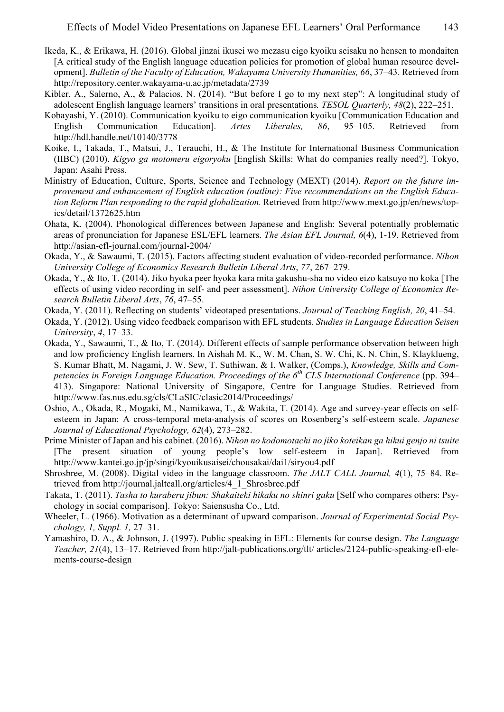- Ikeda, K., & Erikawa, H. (2016). Global jinzai ikusei wo mezasu eigo kyoiku seisaku no hensen to mondaiten [A critical study of the English language education policies for promotion of global human resource development]. *Bulletin of the Faculty of Education, Wakayama University Humanities, 66*, 37–43. Retrieved from http://repository.center.wakayama-u.ac.jp/metadata/2739
- Kibler, A., Salerno, A., & Palacios, N. (2014). "But before I go to my next step": A longitudinal study of adolescent English language learners' transitions in oral presentations*. TESOL Quarterly, 48*(2), 222–251.
- Kobayashi, Y. (2010). Communication kyoiku to eigo communication kyoiku [Communication Education and English Communication Education]. *Artes Liberales, 86*, 95–105. Retrieved from http://hdl.handle.net/10140/3778
- Koike, I., Takada, T., Matsui, J., Terauchi, H., & The Institute for International Business Communication (IIBC) (2010). *Kigyo ga motomeru eigoryoku* [English Skills: What do companies really need?]. Tokyo, Japan: Asahi Press.
- Ministry of Education, Culture, Sports, Science and Technology (MEXT) (2014). *Report on the future improvement and enhancement of English education (outline): Five recommendations on the English Education Reform Plan responding to the rapid globalization.* Retrieved from http://www.mext.go.jp/en/news/topics/detail/1372625.htm
- Ohata, K. (2004). Phonological differences between Japanese and English: Several potentially problematic areas of pronunciation for Japanese ESL/EFL learners. *The Asian EFL Journal, 6*(4), 1-19. Retrieved from http://asian-efl-journal.com/journal-2004/
- Okada, Y., & Sawaumi, T. (2015). Factors affecting student evaluation of video-recorded performance. *Nihon University College of Economics Research Bulletin Liberal Arts*, *77*, 267–279.
- Okada, Y., & Ito, T. (2014). Jiko hyoka peer hyoka kara mita gakushu-sha no video eizo katsuyo no koka [The effects of using video recording in self- and peer assessment]. *Nihon University College of Economics Research Bulletin Liberal Arts*, *76*, 47–55.
- Okada, Y. (2011). Reflecting on students' videotaped presentations. *Journal of Teaching English, 20*, 41–54.
- Okada, Y. (2012). Using video feedback comparison with EFL students. *Studies in Language Education Seisen University*, *4*, 17–33.
- Okada, Y., Sawaumi, T., & Ito, T. (2014). Different effects of sample performance observation between high and low proficiency English learners. In Aishah M. K., W. M. Chan, S. W. Chi, K. N. Chin, S. Klayklueng, S. Kumar Bhatt, M. Nagami, J. W. Sew, T. Suthiwan, & I. Walker, (Comps.), *Knowledge, Skills and Competencies in Foreign Language Education. Proceedings of the 6th CLS International Conference* (pp. 394– 413). Singapore: National University of Singapore, Centre for Language Studies. Retrieved from http://www.fas.nus.edu.sg/cls/CLaSIC/clasic2014/Proceedings/
- Oshio, A., Okada, R., Mogaki, M., Namikawa, T., & Wakita, T. (2014). Age and survey-year effects on selfesteem in Japan: A cross-temporal meta-analysis of scores on Rosenberg's self-esteem scale. *Japanese Journal of Educational Psychology, 62*(4), 273–282.
- Prime Minister of Japan and his cabinet. (2016). *Nihon no kodomotachi no jiko koteikan ga hikui genjo ni tsuite* [The present situation of young people's low self-esteem in Japan]. Retrieved from http://www.kantei.go.jp/jp/singi/kyouikusaisei/chousakai/dai1/siryou4.pdf
- Shrosbree, M. (2008). Digital video in the language classroom. *The JALT CALL Journal, 4*(1), 75–84. Retrieved from http://journal.jaltcall.org/articles/4\_1\_Shrosbree.pdf
- Takata, T. (2011). *Tasha to kuraberu jibun: Shakaiteki hikaku no shinri gaku* [Self who compares others: Psychology in social comparison]. Tokyo: Saiensusha Co., Ltd.
- Wheeler, L. (1966). Motivation as a determinant of upward comparison. *Journal of Experimental Social Psychology, 1, Suppl. 1,* 27–31.
- Yamashiro, D. A., & Johnson, J. (1997). Public speaking in EFL: Elements for course design. *The Language Teacher, 21*(4), 13–17. Retrieved from http://jalt-publications.org/tlt/ articles/2124-public-speaking-efl-elements-course-design